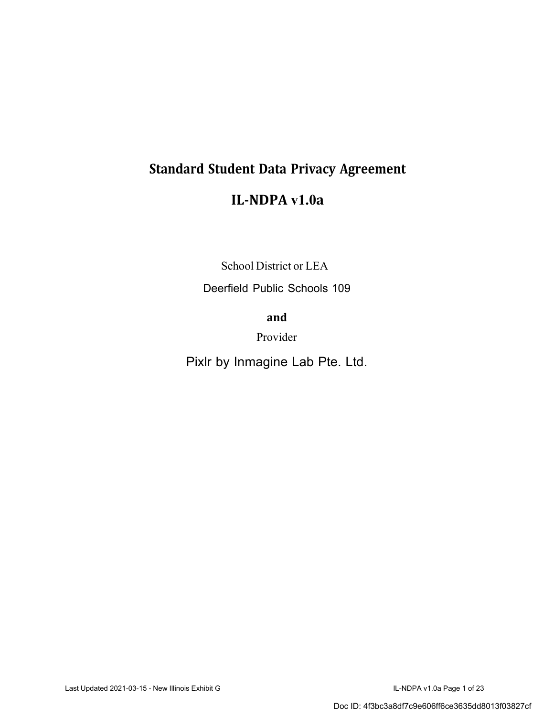# **Standard Student Data Privacy Agreement**

# **IL-NDPA v1.0a**

School District or LEA

Deerfield Public Schools 109

**and**

Provider

Pixlr by Inmagine Lab Pte. Ltd.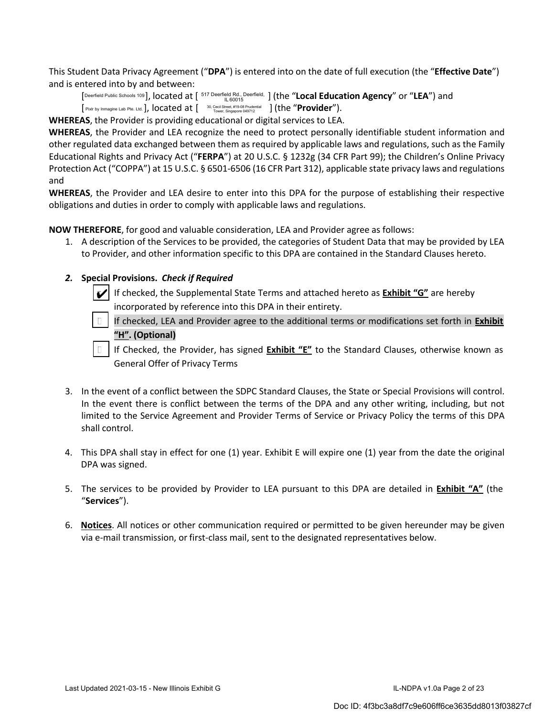This Student Data Privacy Agreement ("**DPA**") is entered into on the date of full execution (the "**Effective Date**") and is entered into by and between:

IL 60015 [Deerfield Public Schools 109 ], located at [ 517 Deerfield Rd., Deerfield, ] (the "**Local Education Agency**" or "**LEA**") and [ Pixlr by Inmagine Lab Pte. Ltd. ], located at [ 30, Cecil Street, #19-08 Prudential ] (the "**Provider"**).

**WHEREAS**, the Provider is providing educational or digital services to LEA.

**WHEREAS**, the Provider and LEA recognize the need to protect personally identifiable student information and other regulated data exchanged between them as required by applicable laws and regulations, such as the Family Educational Rights and Privacy Act ("**FERPA**") at 20 U.S.C. § 1232g (34 CFR Part 99); the Children's Online Privacy Protection Act ("COPPA") at 15 U.S.C. § 6501-6506 (16 CFR Part 312), applicable state privacy laws and regulations and

**WHEREAS**, the Provider and LEA desire to enter into this DPA for the purpose of establishing their respective obligations and duties in order to comply with applicable laws and regulations.

**NOW THEREFORE**, for good and valuable consideration, LEA and Provider agree as follows:

1. A description of the Services to be provided, the categories of Student Data that may be provided by LEA to Provider, and other information specific to this DPA are contained in the Standard Clauses hereto.

#### *2.* **Special Provisions.** *Check if Required*

If checked, the Supplemental State Terms and attached hereto as **Exhibit "G"** are hereby incorporated by reference into this DPA in their entirety. ✔

If checked, LEA and Provider agree to the additional terms or modifications set forth in **Exhibit "H". (Optional)** 

If Checked, the Provider, has signed **Exhibit "E"** to the Standard Clauses, otherwise known as General Offer of Privacy Terms

- 3. In the event of a conflict between the SDPC Standard Clauses, the State or Special Provisions will control. In the event there is conflict between the terms of the DPA and any other writing, including, but not limited to the Service Agreement and Provider Terms of Service or Privacy Policy the terms of this DPA shall control.
- 4. This DPA shall stay in effect for one (1) year. Exhibit E will expire one (1) year from the date the original DPA was signed.
- 5. The services to be provided by Provider to LEA pursuant to this DPA are detailed in **Exhibit "A"** (the "**Services**").
- 6. **Notices**. All notices or other communication required or permitted to be given hereunder may be given via e-mail transmission, or first-class mail, sent to the designated representatives below.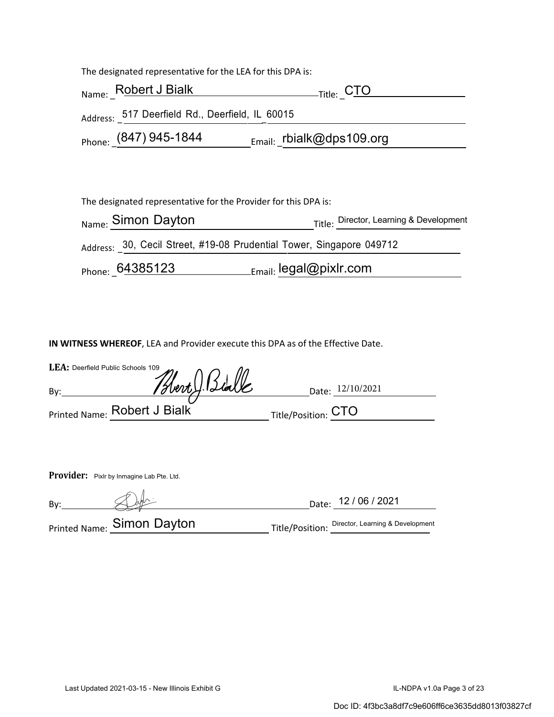The designated representative for the LEA for this DPA is:

| Name: Robert J Bialk                            | <sub>-Title:</sub> C <u>TO</u> |
|-------------------------------------------------|--------------------------------|
| Address: 517 Deerfield Rd., Deerfield, IL 60015 |                                |
| Phone: $(847)$ 945-1844                         | Email:_rbialk@dps109.org       |

The designated representative for the Provider for this DPA is: Name: Simon Dayton Title: Director, Learning & Development Address: 30, Cecil Street, #19-08 Prudential Tower, Singapore 049712 Phone: 64385123 Email: legal@pixlr.com

**IN WITNESS WHEREOF**, LEA and Provider execute this DPA as of the Effective Date.

| LEA: Deerfield Public Schools 109 |                              |                     |                  |
|-----------------------------------|------------------------------|---------------------|------------------|
| Bv:                               | Blert, Biale                 |                     | Date: 12/10/2021 |
|                                   | Printed Name: Robert J Bialk | Title/Position: CTO |                  |

Provider: Pixlr by Inmagine Lab Pte. Ltd.

By: Date: 12 / 06 / 2021

Printed Name: **Simon Dayton** Title/Position: Director, Learning & Development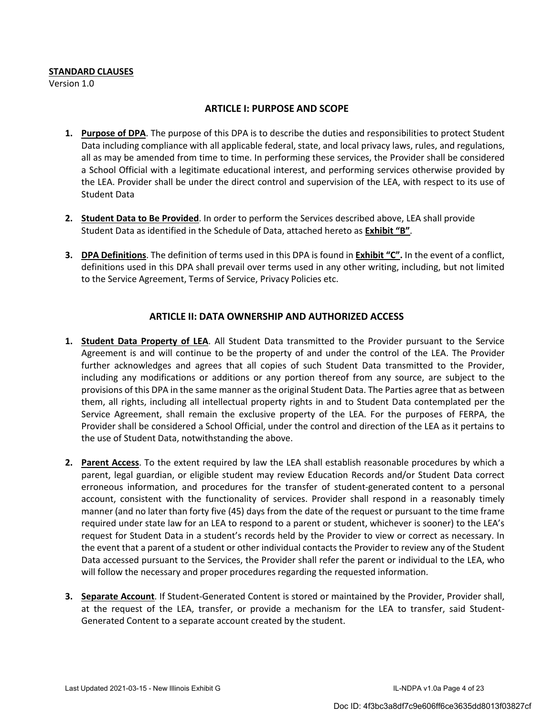#### **STANDARD CLAUSES**

Version 1.0

#### **ARTICLE I: PURPOSE AND SCOPE**

- **1. Purpose of DPA**. The purpose of this DPA is to describe the duties and responsibilities to protect Student Data including compliance with all applicable federal, state, and local privacy laws, rules, and regulations, all as may be amended from time to time. In performing these services, the Provider shall be considered a School Official with a legitimate educational interest, and performing services otherwise provided by the LEA. Provider shall be under the direct control and supervision of the LEA, with respect to its use of Student Data
- **2. Student Data to Be Provided**. In order to perform the Services described above, LEA shall provide Student Data as identified in the Schedule of Data, attached hereto as **Exhibit "B"**.
- **3. DPA Definitions**. The definition of terms used in this DPA is found in **Exhibit "C".** In the event of a conflict, definitions used in this DPA shall prevail over terms used in any other writing, including, but not limited to the Service Agreement, Terms of Service, Privacy Policies etc.

#### **ARTICLE II: DATA OWNERSHIP AND AUTHORIZED ACCESS**

- **1. Student Data Property of LEA**. All Student Data transmitted to the Provider pursuant to the Service Agreement is and will continue to be the property of and under the control of the LEA. The Provider further acknowledges and agrees that all copies of such Student Data transmitted to the Provider, including any modifications or additions or any portion thereof from any source, are subject to the provisions of this DPA in the same manner as the original Student Data. The Parties agree that as between them, all rights, including all intellectual property rights in and to Student Data contemplated per the Service Agreement, shall remain the exclusive property of the LEA. For the purposes of FERPA, the Provider shall be considered a School Official, under the control and direction of the LEA as it pertains to the use of Student Data, notwithstanding the above.
- **2. Parent Access**. To the extent required by law the LEA shall establish reasonable procedures by which a parent, legal guardian, or eligible student may review Education Records and/or Student Data correct erroneous information, and procedures for the transfer of student-generated content to a personal account, consistent with the functionality of services. Provider shall respond in a reasonably timely manner (and no later than forty five (45) days from the date of the request or pursuant to the time frame required under state law for an LEA to respond to a parent or student, whichever is sooner) to the LEA's request for Student Data in a student's records held by the Provider to view or correct as necessary. In the event that a parent of a student or other individual contacts the Provider to review any of the Student Data accessed pursuant to the Services, the Provider shall refer the parent or individual to the LEA, who will follow the necessary and proper procedures regarding the requested information.
- **3. Separate Account**. If Student-Generated Content is stored or maintained by the Provider, Provider shall, at the request of the LEA, transfer, or provide a mechanism for the LEA to transfer, said Student-Generated Content to a separate account created by the student.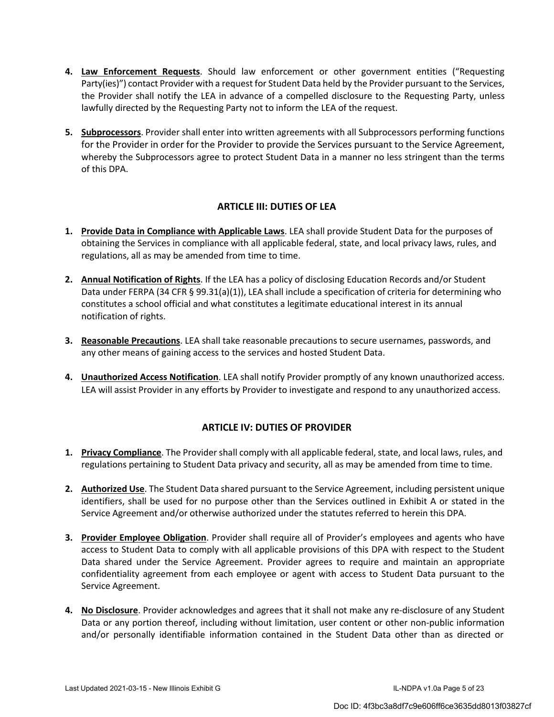- **4. Law Enforcement Requests**. Should law enforcement or other government entities ("Requesting Party(ies)") contact Provider with a request for Student Data held by the Provider pursuant to the Services, the Provider shall notify the LEA in advance of a compelled disclosure to the Requesting Party, unless lawfully directed by the Requesting Party not to inform the LEA of the request.
- **5. Subprocessors**. Provider shall enter into written agreements with all Subprocessors performing functions for the Provider in order for the Provider to provide the Services pursuant to the Service Agreement, whereby the Subprocessors agree to protect Student Data in a manner no less stringent than the terms of this DPA.

## **ARTICLE III: DUTIES OF LEA**

- **1. Provide Data in Compliance with Applicable Laws**. LEA shall provide Student Data for the purposes of obtaining the Services in compliance with all applicable federal, state, and local privacy laws, rules, and regulations, all as may be amended from time to time.
- **2. Annual Notification of Rights**. If the LEA has a policy of disclosing Education Records and/or Student Data under FERPA (34 CFR § 99.31(a)(1)), LEA shall include a specification of criteria for determining who constitutes a school official and what constitutes a legitimate educational interest in its annual notification of rights.
- **3. Reasonable Precautions**. LEA shall take reasonable precautions to secure usernames, passwords, and any other means of gaining access to the services and hosted Student Data.
- **4. Unauthorized Access Notification**. LEA shall notify Provider promptly of any known unauthorized access. LEA will assist Provider in any efforts by Provider to investigate and respond to any unauthorized access.

#### **ARTICLE IV: DUTIES OF PROVIDER**

- **1. Privacy Compliance**. The Provider shall comply with all applicable federal, state, and local laws, rules, and regulations pertaining to Student Data privacy and security, all as may be amended from time to time.
- **2. Authorized Use**. The Student Data shared pursuant to the Service Agreement, including persistent unique identifiers, shall be used for no purpose other than the Services outlined in Exhibit A or stated in the Service Agreement and/or otherwise authorized under the statutes referred to herein this DPA.
- **3. Provider Employee Obligation**. Provider shall require all of Provider's employees and agents who have access to Student Data to comply with all applicable provisions of this DPA with respect to the Student Data shared under the Service Agreement. Provider agrees to require and maintain an appropriate confidentiality agreement from each employee or agent with access to Student Data pursuant to the Service Agreement.
- **4. No Disclosure**. Provider acknowledges and agrees that it shall not make any re-disclosure of any Student Data or any portion thereof, including without limitation, user content or other non-public information and/or personally identifiable information contained in the Student Data other than as directed or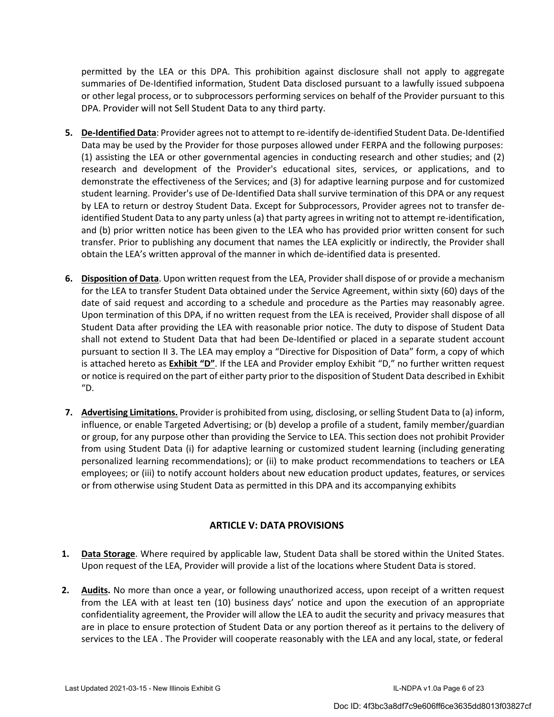permitted by the LEA or this DPA. This prohibition against disclosure shall not apply to aggregate summaries of De-Identified information, Student Data disclosed pursuant to a lawfully issued subpoena or other legal process, or to subprocessors performing services on behalf of the Provider pursuant to this DPA. Provider will not Sell Student Data to any third party.

- **5. De-Identified Data**: Provider agrees not to attempt to re-identify de-identified Student Data. De-Identified Data may be used by the Provider for those purposes allowed under FERPA and the following purposes: (1) assisting the LEA or other governmental agencies in conducting research and other studies; and (2) research and development of the Provider's educational sites, services, or applications, and to demonstrate the effectiveness of the Services; and (3) for adaptive learning purpose and for customized student learning. Provider's use of De-Identified Data shall survive termination of this DPA or any request by LEA to return or destroy Student Data. Except for Subprocessors, Provider agrees not to transfer deidentified Student Data to any party unless (a) that party agrees in writing not to attempt re-identification, and (b) prior written notice has been given to the LEA who has provided prior written consent for such transfer. Prior to publishing any document that names the LEA explicitly or indirectly, the Provider shall obtain the LEA's written approval of the manner in which de-identified data is presented.
- **6. Disposition of Data**. Upon written request from the LEA, Provider shall dispose of or provide a mechanism for the LEA to transfer Student Data obtained under the Service Agreement, within sixty (60) days of the date of said request and according to a schedule and procedure as the Parties may reasonably agree. Upon termination of this DPA, if no written request from the LEA is received, Provider shall dispose of all Student Data after providing the LEA with reasonable prior notice. The duty to dispose of Student Data shall not extend to Student Data that had been De-Identified or placed in a separate student account pursuant to section II 3. The LEA may employ a "Directive for Disposition of Data" form, a copy of which is attached hereto as **Exhibit "D"**. If the LEA and Provider employ Exhibit "D," no further written request or notice is required on the part of either party prior to the disposition of Student Data described in Exhibit  $"D.$
- **7. Advertising Limitations.** Provider is prohibited from using, disclosing, or selling Student Data to (a) inform, influence, or enable Targeted Advertising; or (b) develop a profile of a student, family member/guardian or group, for any purpose other than providing the Service to LEA. This section does not prohibit Provider from using Student Data (i) for adaptive learning or customized student learning (including generating personalized learning recommendations); or (ii) to make product recommendations to teachers or LEA employees; or (iii) to notify account holders about new education product updates, features, or services or from otherwise using Student Data as permitted in this DPA and its accompanying exhibits

# **ARTICLE V: DATA PROVISIONS**

- **1. Data Storage**. Where required by applicable law, Student Data shall be stored within the United States. Upon request of the LEA, Provider will provide a list of the locations where Student Data is stored.
- **2. Audits.** No more than once a year, or following unauthorized access, upon receipt of a written request from the LEA with at least ten (10) business days' notice and upon the execution of an appropriate confidentiality agreement, the Provider will allow the LEA to audit the security and privacy measures that are in place to ensure protection of Student Data or any portion thereof as it pertains to the delivery of services to the LEA . The Provider will cooperate reasonably with the LEA and any local, state, or federal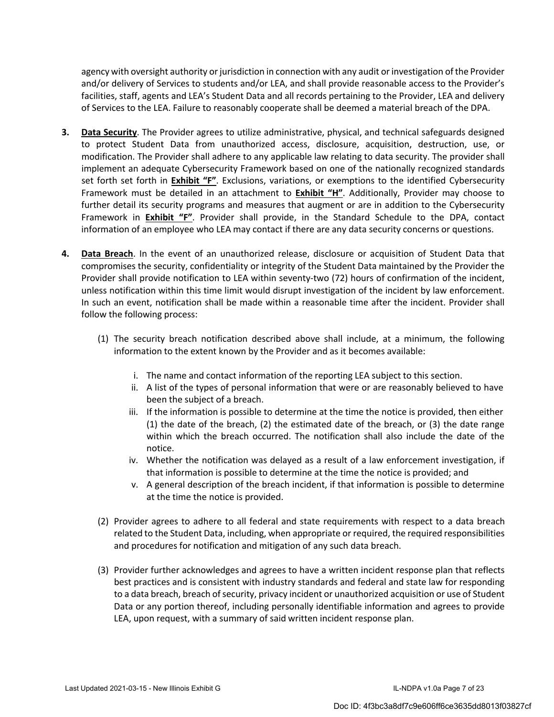agency with oversight authority or jurisdiction in connection with any audit or investigation of the Provider and/or delivery of Services to students and/or LEA, and shall provide reasonable access to the Provider's facilities, staff, agents and LEA's Student Data and all records pertaining to the Provider, LEA and delivery of Services to the LEA. Failure to reasonably cooperate shall be deemed a material breach of the DPA.

- **3. Data Security**. The Provider agrees to utilize administrative, physical, and technical safeguards designed to protect Student Data from unauthorized access, disclosure, acquisition, destruction, use, or modification. The Provider shall adhere to any applicable law relating to data security. The provider shall implement an adequate Cybersecurity Framework based on one of the nationally recognized standards set forth set forth in **Exhibit "F"**. Exclusions, variations, or exemptions to the identified Cybersecurity Framework must be detailed in an attachment to **Exhibit "H"**. Additionally, Provider may choose to further detail its security programs and measures that augment or are in addition to the Cybersecurity Framework in **Exhibit "F"**. Provider shall provide, in the Standard Schedule to the DPA, contact information of an employee who LEA may contact if there are any data security concerns or questions.
- **4. Data Breach**. In the event of an unauthorized release, disclosure or acquisition of Student Data that compromises the security, confidentiality or integrity of the Student Data maintained by the Provider the Provider shall provide notification to LEA within seventy-two (72) hours of confirmation of the incident, unless notification within this time limit would disrupt investigation of the incident by law enforcement. In such an event, notification shall be made within a reasonable time after the incident. Provider shall follow the following process:
	- (1) The security breach notification described above shall include, at a minimum, the following information to the extent known by the Provider and as it becomes available:
		- i. The name and contact information of the reporting LEA subject to this section.
		- ii. A list of the types of personal information that were or are reasonably believed to have been the subject of a breach.
		- iii. If the information is possible to determine at the time the notice is provided, then either (1) the date of the breach, (2) the estimated date of the breach, or (3) the date range within which the breach occurred. The notification shall also include the date of the notice.
		- iv. Whether the notification was delayed as a result of a law enforcement investigation, if that information is possible to determine at the time the notice is provided; and
		- v. A general description of the breach incident, if that information is possible to determine at the time the notice is provided.
	- (2) Provider agrees to adhere to all federal and state requirements with respect to a data breach related to the Student Data, including, when appropriate or required, the required responsibilities and procedures for notification and mitigation of any such data breach.
	- (3) Provider further acknowledges and agrees to have a written incident response plan that reflects best practices and is consistent with industry standards and federal and state law for responding to a data breach, breach of security, privacy incident or unauthorized acquisition or use of Student Data or any portion thereof, including personally identifiable information and agrees to provide LEA, upon request, with a summary of said written incident response plan.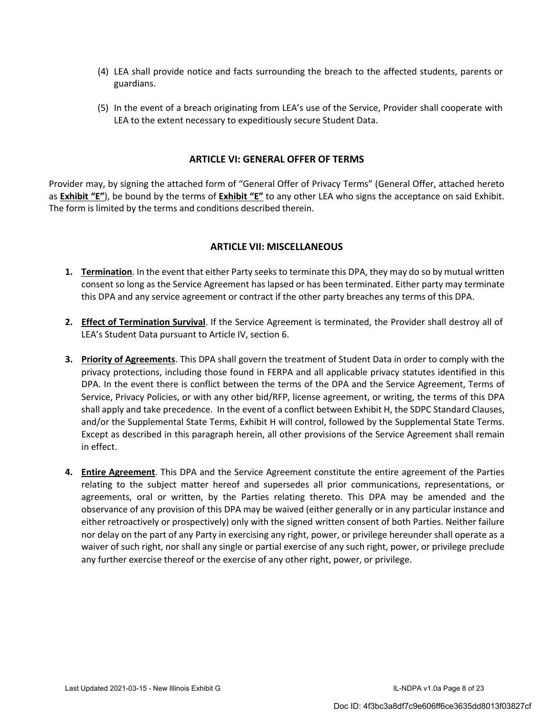- (4) LEA shall provide notice and facts surrounding the breach to the affected students, parents or guardians.
- (5) In the event of a breach originating from LEA's use of the Service, Provider shall cooperate with LEA to the extent necessary to expeditiously secure Student Data.

#### **ARTICLE VI: GENERAL OFFER OF TERMS**

Provider may, by signing the attached form of "General Offer of Privacy Terms" (General Offer, attached hereto as **Exhibit "E"**), be bound by the terms of **Exhibit "E"** to any other LEA who signs the acceptance on said Exhibit. The form is limited by the terms and conditions described therein.

#### **ARTICLE VII: MISCELLANEOUS**

- **1. Termination**. In the event that either Party seeks to terminate this DPA, they may do so by mutual written consent so long as the Service Agreement has lapsed or has been terminated. Either party may terminate this DPA and any service agreement or contract if the other party breaches any terms of this DPA.
- **2. Effect of Termination Survival**. If the Service Agreement is terminated, the Provider shall destroy all of LEA's Student Data pursuant to Article IV, section 6.
- **3. Priority of Agreements**. This DPA shall govern the treatment of Student Data in order to comply with the privacy protections, including those found in FERPA and all applicable privacy statutes identified in this DPA. In the event there is conflict between the terms of the DPA and the Service Agreement, Terms of Service, Privacy Policies, or with any other bid/RFP, license agreement, or writing, the terms of this DPA shall apply and take precedence. In the event of a conflict between Exhibit H, the SDPC Standard Clauses, and/or the Supplemental State Terms, Exhibit H will control, followed by the Supplemental State Terms. Except as described in this paragraph herein, all other provisions of the Service Agreement shall remain in effect.
- **4. Entire Agreement**. This DPA and the Service Agreement constitute the entire agreement of the Parties relating to the subject matter hereof and supersedes all prior communications, representations, or agreements, oral or written, by the Parties relating thereto. This DPA may be amended and the observance of any provision of this DPA may be waived (either generally or in any particular instance and either retroactively or prospectively) only with the signed written consent of both Parties. Neither failure nor delay on the part of any Party in exercising any right, power, or privilege hereunder shall operate as a waiver of such right, nor shall any single or partial exercise of any such right, power, or privilege preclude any further exercise thereof or the exercise of any other right, power, or privilege.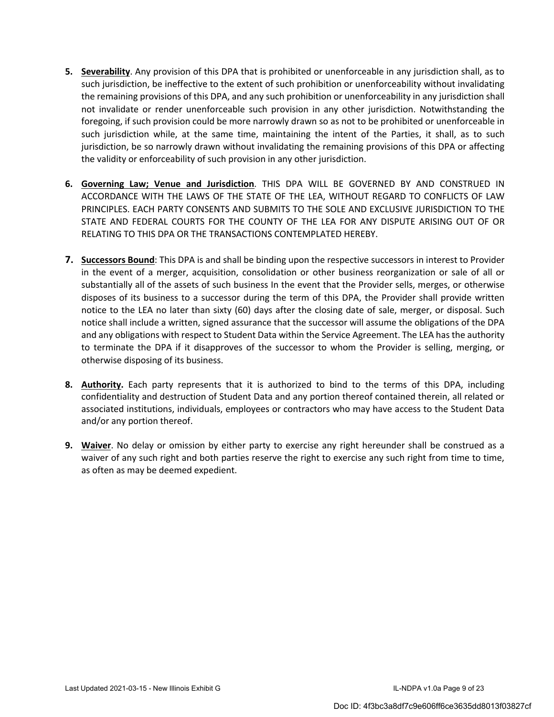- **5. Severability**. Any provision of this DPA that is prohibited or unenforceable in any jurisdiction shall, as to such jurisdiction, be ineffective to the extent of such prohibition or unenforceability without invalidating the remaining provisions of this DPA, and any such prohibition or unenforceability in any jurisdiction shall not invalidate or render unenforceable such provision in any other jurisdiction. Notwithstanding the foregoing, if such provision could be more narrowly drawn so as not to be prohibited or unenforceable in such jurisdiction while, at the same time, maintaining the intent of the Parties, it shall, as to such jurisdiction, be so narrowly drawn without invalidating the remaining provisions of this DPA or affecting the validity or enforceability of such provision in any other jurisdiction.
- **6. Governing Law; Venue and Jurisdiction**. THIS DPA WILL BE GOVERNED BY AND CONSTRUED IN ACCORDANCE WITH THE LAWS OF THE STATE OF THE LEA, WITHOUT REGARD TO CONFLICTS OF LAW PRINCIPLES. EACH PARTY CONSENTS AND SUBMITS TO THE SOLE AND EXCLUSIVE JURISDICTION TO THE STATE AND FEDERAL COURTS FOR THE COUNTY OF THE LEA FOR ANY DISPUTE ARISING OUT OF OR RELATING TO THIS DPA OR THE TRANSACTIONS CONTEMPLATED HEREBY.
- **7. Successors Bound**: This DPA is and shall be binding upon the respective successors in interest to Provider in the event of a merger, acquisition, consolidation or other business reorganization or sale of all or substantially all of the assets of such business In the event that the Provider sells, merges, or otherwise disposes of its business to a successor during the term of this DPA, the Provider shall provide written notice to the LEA no later than sixty (60) days after the closing date of sale, merger, or disposal. Such notice shall include a written, signed assurance that the successor will assume the obligations of the DPA and any obligations with respect to Student Data within the Service Agreement. The LEA has the authority to terminate the DPA if it disapproves of the successor to whom the Provider is selling, merging, or otherwise disposing of its business.
- **8. Authority.** Each party represents that it is authorized to bind to the terms of this DPA, including confidentiality and destruction of Student Data and any portion thereof contained therein, all related or associated institutions, individuals, employees or contractors who may have access to the Student Data and/or any portion thereof.
- **9. Waiver**. No delay or omission by either party to exercise any right hereunder shall be construed as a waiver of any such right and both parties reserve the right to exercise any such right from time to time, as often as may be deemed expedient.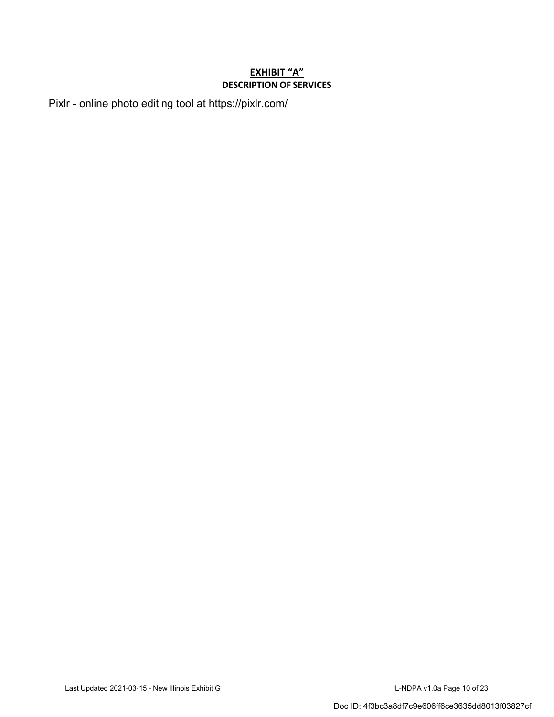## **EXHIBIT "A" DESCRIPTION OF SERVICES**

Pixlr - online photo editing tool at https://pixlr.com/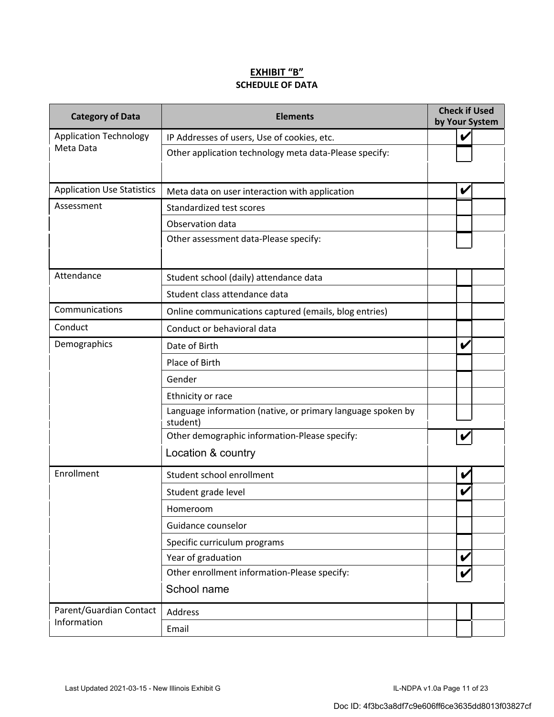#### **EXHIBIT "B" SCHEDULE OF DATA**

| <b>Category of Data</b>           | <b>Check if Used</b><br><b>Elements</b><br>by Your System               |   |  |
|-----------------------------------|-------------------------------------------------------------------------|---|--|
| <b>Application Technology</b>     | IP Addresses of users, Use of cookies, etc.                             | V |  |
| Meta Data                         | Other application technology meta data-Please specify:                  |   |  |
| <b>Application Use Statistics</b> | Meta data on user interaction with application                          | V |  |
| Assessment                        | Standardized test scores                                                |   |  |
|                                   | Observation data                                                        |   |  |
|                                   | Other assessment data-Please specify:                                   |   |  |
| Attendance                        | Student school (daily) attendance data                                  |   |  |
|                                   | Student class attendance data                                           |   |  |
| Communications                    | Online communications captured (emails, blog entries)                   |   |  |
| Conduct                           | Conduct or behavioral data                                              |   |  |
| Demographics                      | Date of Birth                                                           | V |  |
|                                   | Place of Birth                                                          |   |  |
|                                   | Gender                                                                  |   |  |
|                                   | Ethnicity or race                                                       |   |  |
|                                   | Language information (native, or primary language spoken by<br>student) |   |  |
|                                   | Other demographic information-Please specify:                           |   |  |
|                                   | Location & country                                                      |   |  |
| Enrollment                        | Student school enrollment                                               | V |  |
|                                   | Student grade level                                                     |   |  |
|                                   | Homeroom                                                                |   |  |
|                                   | Guidance counselor                                                      |   |  |
|                                   | Specific curriculum programs                                            |   |  |
|                                   | Year of graduation                                                      | V |  |
|                                   | Other enrollment information-Please specify:                            |   |  |
|                                   | School name                                                             |   |  |
| Parent/Guardian Contact           | Address                                                                 |   |  |
| Information                       | Email                                                                   |   |  |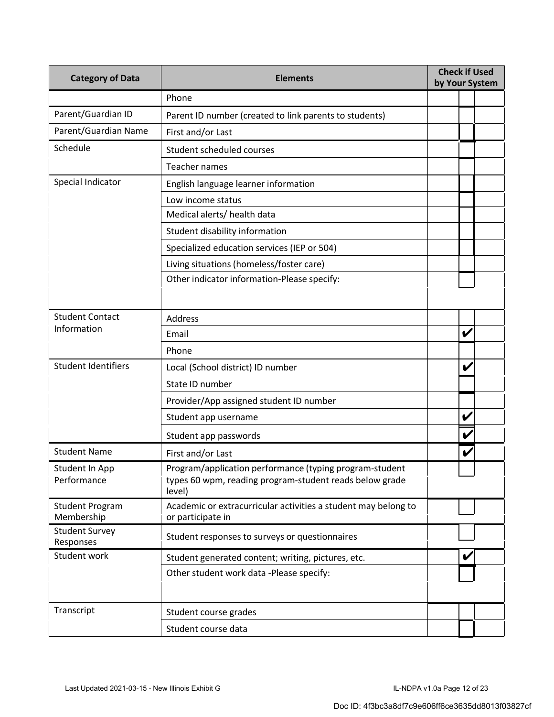| <b>Category of Data</b>              | <b>Check if Used</b><br><b>Elements</b><br>by Your System                                                                    |  |   |  |
|--------------------------------------|------------------------------------------------------------------------------------------------------------------------------|--|---|--|
|                                      | Phone                                                                                                                        |  |   |  |
| Parent/Guardian ID                   | Parent ID number (created to link parents to students)                                                                       |  |   |  |
| Parent/Guardian Name                 | First and/or Last                                                                                                            |  |   |  |
| Schedule                             | Student scheduled courses                                                                                                    |  |   |  |
|                                      | Teacher names                                                                                                                |  |   |  |
| Special Indicator                    | English language learner information                                                                                         |  |   |  |
|                                      | Low income status                                                                                                            |  |   |  |
|                                      | Medical alerts/ health data                                                                                                  |  |   |  |
|                                      | Student disability information                                                                                               |  |   |  |
|                                      | Specialized education services (IEP or 504)                                                                                  |  |   |  |
|                                      | Living situations (homeless/foster care)                                                                                     |  |   |  |
|                                      | Other indicator information-Please specify:                                                                                  |  |   |  |
|                                      |                                                                                                                              |  |   |  |
| <b>Student Contact</b>               | Address                                                                                                                      |  |   |  |
| Information                          | Email                                                                                                                        |  | V |  |
|                                      | Phone                                                                                                                        |  |   |  |
| <b>Student Identifiers</b>           | Local (School district) ID number                                                                                            |  | V |  |
|                                      | State ID number                                                                                                              |  |   |  |
|                                      | Provider/App assigned student ID number                                                                                      |  |   |  |
|                                      | Student app username                                                                                                         |  | V |  |
|                                      | Student app passwords                                                                                                        |  | V |  |
| <b>Student Name</b>                  | First and/or Last                                                                                                            |  | V |  |
| Student In App<br>Performance        | Program/application performance (typing program-student<br>types 60 wpm, reading program-student reads below grade<br>level) |  |   |  |
| <b>Student Program</b><br>Membership | Academic or extracurricular activities a student may belong to<br>or participate in                                          |  |   |  |
| <b>Student Survey</b><br>Responses   | Student responses to surveys or questionnaires                                                                               |  |   |  |
| Student work                         | Student generated content; writing, pictures, etc.                                                                           |  |   |  |
|                                      | Other student work data -Please specify:                                                                                     |  |   |  |
| Transcript                           | Student course grades                                                                                                        |  |   |  |
|                                      | Student course data                                                                                                          |  |   |  |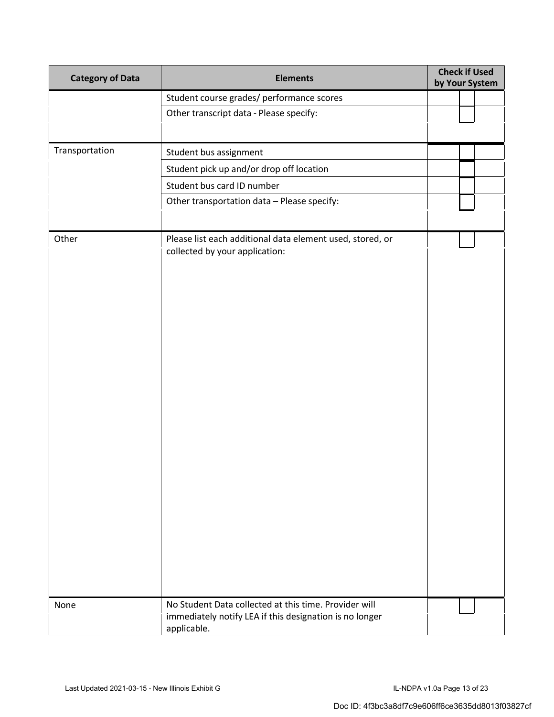| <b>Category of Data</b> | <b>Elements</b>                                                                                                                 |  | <b>Check if Used</b><br>by Your System |  |
|-------------------------|---------------------------------------------------------------------------------------------------------------------------------|--|----------------------------------------|--|
|                         | Student course grades/ performance scores                                                                                       |  |                                        |  |
|                         | Other transcript data - Please specify:                                                                                         |  |                                        |  |
|                         |                                                                                                                                 |  |                                        |  |
| Transportation          | Student bus assignment                                                                                                          |  |                                        |  |
|                         | Student pick up and/or drop off location                                                                                        |  |                                        |  |
|                         | Student bus card ID number                                                                                                      |  |                                        |  |
|                         | Other transportation data - Please specify:                                                                                     |  |                                        |  |
| Other                   | Please list each additional data element used, stored, or<br>collected by your application:                                     |  |                                        |  |
| None                    | No Student Data collected at this time. Provider will<br>immediately notify LEA if this designation is no longer<br>applicable. |  |                                        |  |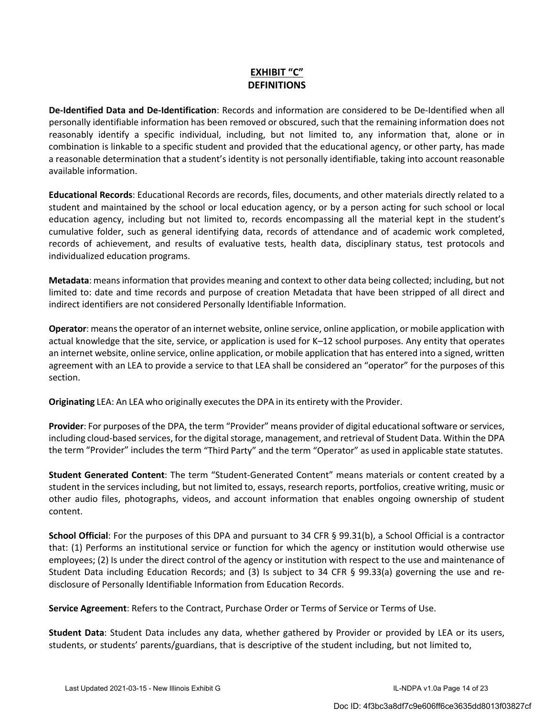# **EXHIBIT "C" DEFINITIONS**

**De-Identified Data and De-Identification**: Records and information are considered to be De-Identified when all personally identifiable information has been removed or obscured, such that the remaining information does not reasonably identify a specific individual, including, but not limited to, any information that, alone or in combination is linkable to a specific student and provided that the educational agency, or other party, has made a reasonable determination that a student's identity is not personally identifiable, taking into account reasonable available information.

**Educational Records**: Educational Records are records, files, documents, and other materials directly related to a student and maintained by the school or local education agency, or by a person acting for such school or local education agency, including but not limited to, records encompassing all the material kept in the student's cumulative folder, such as general identifying data, records of attendance and of academic work completed, records of achievement, and results of evaluative tests, health data, disciplinary status, test protocols and individualized education programs.

**Metadata**: means information that provides meaning and context to other data being collected; including, but not limited to: date and time records and purpose of creation Metadata that have been stripped of all direct and indirect identifiers are not considered Personally Identifiable Information.

**Operator**: means the operator of an internet website, online service, online application, or mobile application with actual knowledge that the site, service, or application is used for K–12 school purposes. Any entity that operates an internet website, online service, online application, or mobile application that has entered into a signed, written agreement with an LEA to provide a service to that LEA shall be considered an "operator" for the purposes of this section.

**Originating** LEA: An LEA who originally executes the DPA in its entirety with the Provider.

**Provider**: For purposes of the DPA, the term "Provider" means provider of digital educational software or services, including cloud-based services, for the digital storage, management, and retrieval of Student Data. Within the DPA the term "Provider" includes the term "Third Party" and the term "Operator" as used in applicable state statutes.

**Student Generated Content**: The term "Student-Generated Content" means materials or content created by a student in the services including, but not limited to, essays, research reports, portfolios, creative writing, music or other audio files, photographs, videos, and account information that enables ongoing ownership of student content.

**School Official**: For the purposes of this DPA and pursuant to 34 CFR § 99.31(b), a School Official is a contractor that: (1) Performs an institutional service or function for which the agency or institution would otherwise use employees; (2) Is under the direct control of the agency or institution with respect to the use and maintenance of Student Data including Education Records; and (3) Is subject to 34 CFR § 99.33(a) governing the use and redisclosure of Personally Identifiable Information from Education Records.

**Service Agreement**: Refers to the Contract, Purchase Order or Terms of Service or Terms of Use.

**Student Data**: Student Data includes any data, whether gathered by Provider or provided by LEA or its users, students, or students' parents/guardians, that is descriptive of the student including, but not limited to,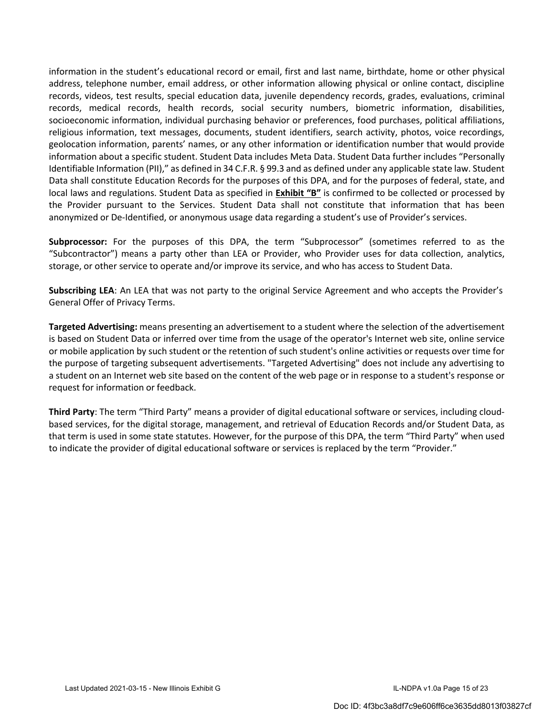information in the student's educational record or email, first and last name, birthdate, home or other physical address, telephone number, email address, or other information allowing physical or online contact, discipline records, videos, test results, special education data, juvenile dependency records, grades, evaluations, criminal records, medical records, health records, social security numbers, biometric information, disabilities, socioeconomic information, individual purchasing behavior or preferences, food purchases, political affiliations, religious information, text messages, documents, student identifiers, search activity, photos, voice recordings, geolocation information, parents' names, or any other information or identification number that would provide information about a specific student. Student Data includes Meta Data. Student Data further includes "Personally Identifiable Information (PII)," as defined in 34 C.F.R. § 99.3 and as defined under any applicable state law. Student Data shall constitute Education Records for the purposes of this DPA, and for the purposes of federal, state, and local laws and regulations. Student Data as specified in **Exhibit "B"** is confirmed to be collected or processed by the Provider pursuant to the Services. Student Data shall not constitute that information that has been anonymized or De-Identified, or anonymous usage data regarding a student's use of Provider's services.

**Subprocessor:** For the purposes of this DPA, the term "Subprocessor" (sometimes referred to as the "Subcontractor") means a party other than LEA or Provider, who Provider uses for data collection, analytics, storage, or other service to operate and/or improve its service, and who has access to Student Data.

**Subscribing LEA**: An LEA that was not party to the original Service Agreement and who accepts the Provider's General Offer of Privacy Terms.

**Targeted Advertising:** means presenting an advertisement to a student where the selection of the advertisement is based on Student Data or inferred over time from the usage of the operator's Internet web site, online service or mobile application by such student or the retention of such student's online activities or requests over time for the purpose of targeting subsequent advertisements. "Targeted Advertising" does not include any advertising to a student on an Internet web site based on the content of the web page or in response to a student's response or request for information or feedback.

**Third Party**: The term "Third Party" means a provider of digital educational software or services, including cloudbased services, for the digital storage, management, and retrieval of Education Records and/or Student Data, as that term is used in some state statutes. However, for the purpose of this DPA, the term "Third Party" when used to indicate the provider of digital educational software or services is replaced by the term "Provider."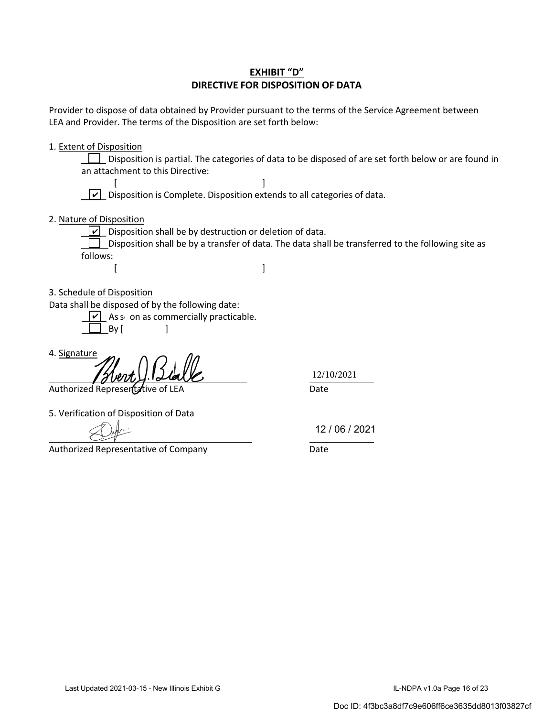## **EXHIBIT "D" DIRECTIVE FOR DISPOSITION OF DATA**

Provider to dispose of data obtained by Provider pursuant to the terms of the Service Agreement between LEA and Provider. The terms of the Disposition are set forth below:

1. Extent of Disposition

Disposition is partial. The categories of data to be disposed of are set forth below or are found in an attachment to this Directive:

 $[$  $\boxed{\checkmark}$  Disposition is Complete. Disposition extends to all categories of data.

2. Nature of Disposition

 $\angle$  Disposition shall be by destruction or deletion of data.

 $\Box$  Disposition shall be by a transfer of data. The data shall be transferred to the following site as follows:

- $[$
- 3. Schedule of Disposition

Data shall be disposed of by the following date:

As s on as commercially practicable. ]  $\Box$  By [

4. Signature

12/10/2021

Authorized Represent a dive of LEA Date

5. Verification of Disposition of Data

Authorized Representative of Company **Date** 

12 / 06 / 2021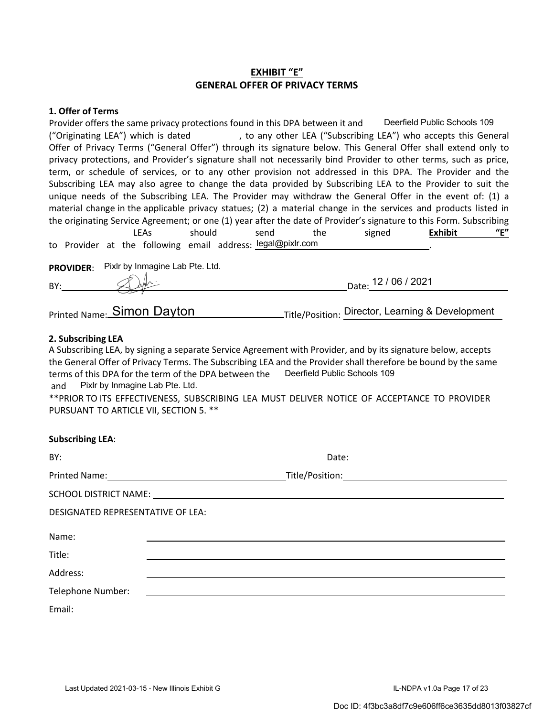## **EXHIBIT "E" GENERAL OFFER OF PRIVACY TERMS**

#### **1. Offer of Terms**

Provider offers the same privacy protections found in this DPA between it and Deerfield Public Schools 109 ("Originating LEA") which is dated , to any other LEA ("Subscribing LEA") who accepts this General Offer of Privacy Terms ("General Offer") through its signature below. This General Offer shall extend only to privacy protections, and Provider's signature shall not necessarily bind Provider to other terms, such as price, term, or schedule of services, or to any other provision not addressed in this DPA. The Provider and the Subscribing LEA may also agree to change the data provided by Subscribing LEA to the Provider to suit the unique needs of the Subscribing LEA. The Provider may withdraw the General Offer in the event of: (1) a material change in the applicable privacy statues; (2) a material change in the services and products listed in the originating Service Agreement; or one (1) year after the date of Provider's signature to this Form. Subscribing LEAs should send the signed **Exhibit "E"**  to Provider at the following email address: legal@pixlr.com **PROVIDER**: Pixlr by Inmagine Lab Pte. Ltd. BY: Date: 12 / 06 / 2021

Printed Name: Simon Dayton Manuel Title/Position: Director, Learning & Development

#### **2. Subscribing LEA**

A Subscribing LEA, by signing a separate Service Agreement with Provider, and by its signature below, accepts the General Offer of Privacy Terms. The Subscribing LEA and the Provider shall therefore be bound by the same terms of this DPA for the term of the DPA between the Deerfield Public Schools 109 and Pixlr by Inmagine Lab Pte. Ltd.

\*\*PRIOR TO ITS EFFECTIVENESS, SUBSCRIBING LEA MUST DELIVER NOTICE OF ACCEPTANCE TO PROVIDER PURSUANT TO ARTICLE VII, SECTION 5. \*\*

| <b>Subscribing LEA:</b> |  |
|-------------------------|--|
|-------------------------|--|

| DESIGNATED REPRESENTATIVE OF LEA: |  |  |  |  |
|-----------------------------------|--|--|--|--|
| Name:                             |  |  |  |  |
| Title:                            |  |  |  |  |
| Address:                          |  |  |  |  |
| Telephone Number:                 |  |  |  |  |
| Email:                            |  |  |  |  |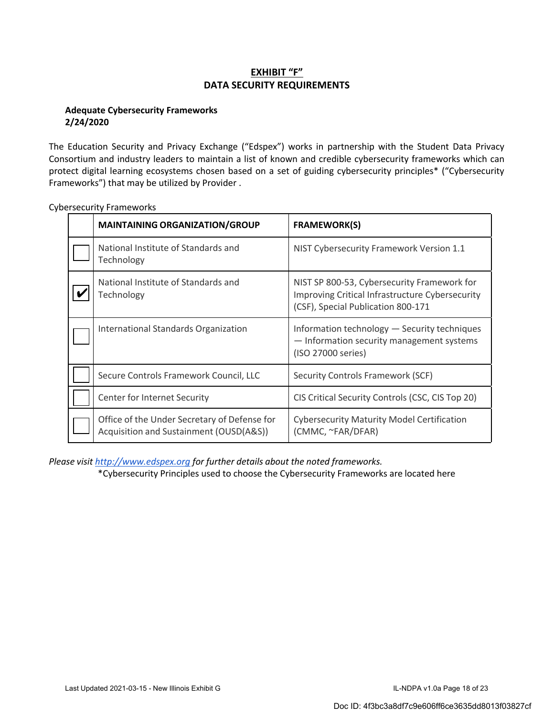# **EXHIBIT "F" DATA SECURITY REQUIREMENTS**

#### **Adequate Cybersecurity Frameworks 2/24/2020**

The Education Security and Privacy Exchange ("Edspex") works in partnership with the Student Data Privacy Consortium and industry leaders to maintain a list of known and credible cybersecurity frameworks which can protect digital learning ecosystems chosen based on a set of guiding cybersecurity principles\* ("Cybersecurity Frameworks") that may be utilized by Provider .

| <b>MAINTAINING ORGANIZATION/GROUP</b>                                                   | <b>FRAMEWORK(S)</b>                                                                                                                  |
|-----------------------------------------------------------------------------------------|--------------------------------------------------------------------------------------------------------------------------------------|
| National Institute of Standards and<br>Technology                                       | NIST Cybersecurity Framework Version 1.1                                                                                             |
| National Institute of Standards and<br>Technology                                       | NIST SP 800-53, Cybersecurity Framework for<br>Improving Critical Infrastructure Cybersecurity<br>(CSF), Special Publication 800-171 |
| International Standards Organization                                                    | Information technology - Security techniques<br>- Information security management systems<br>(ISO 27000 series)                      |
| Secure Controls Framework Council, LLC                                                  | <b>Security Controls Framework (SCF)</b>                                                                                             |
| Center for Internet Security                                                            | CIS Critical Security Controls (CSC, CIS Top 20)                                                                                     |
| Office of the Under Secretary of Defense for<br>Acquisition and Sustainment (OUSD(A&S)) | <b>Cybersecurity Maturity Model Certification</b><br>(CMMC, ~FAR/DFAR)                                                               |

Cybersecurity Frameworks

*Please visit http://www.edspex.org for further details about the noted frameworks.* 

\*Cybersecurity Principles used to choose the Cybersecurity Frameworks are located here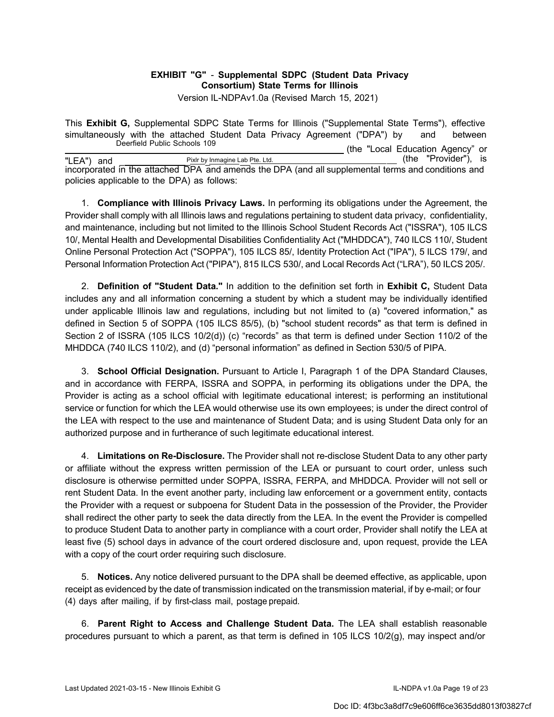# **EXHIBIT "G"** - **Supplemental SDPC (Student Data Privacy Consortium) State Terms for Illinois**

Version IL-NDPAv1.0a (Revised March 15, 2021)

This **Exhibit G,** Supplemental SDPC State Terms for Illinois ("Supplemental State Terms"), effective simultaneously with the attached Student Data Privacy Agreement ("DPA") by and between<br>Deerfield Public Schools 109 (the "Local Education Agency" or "LEA") and Pixlr by Inmagine Lab Pte. Ltd. (the "Provider"), is incorporated in the attached DPA and amends the DPA (and all supplemental terms and conditions and policies applicable to the DPA) as follows:

1. **Compliance with Illinois Privacy Laws.** In performing its obligations under the Agreement, the Provider shall comply with all Illinois laws and regulations pertaining to student data privacy, confidentiality, and maintenance, including but not limited to the Illinois School Student Records Act ("ISSRA"), 105 ILCS 10/, Mental Health and Developmental Disabilities Confidentiality Act ("MHDDCA"), 740 ILCS 110/, Student Online Personal Protection Act ("SOPPA"), 105 ILCS 85/, Identity Protection Act ("IPA"), 5 ILCS 179/, and Personal Information Protection Act ("PIPA"), 815 ILCS 530/, and Local Records Act ("LRA"), 50 ILCS 205/.

2. **Definition of "Student Data."** In addition to the definition set forth in **Exhibit C,** Student Data includes any and all information concerning a student by which a student may be individually identified under applicable Illinois law and regulations, including but not limited to (a) "covered information," as defined in Section 5 of SOPPA (105 ILCS 85/5), (b) "school student records" as that term is defined in Section 2 of ISSRA (105 ILCS 10/2(d)) (c) "records" as that term is defined under Section 110/2 of the MHDDCA (740 ILCS 110/2), and (d) "personal information" as defined in Section 530/5 of PIPA.

3. **School Official Designation.** Pursuant to Article I, Paragraph 1 of the DPA Standard Clauses, and in accordance with FERPA, ISSRA and SOPPA, in performing its obligations under the DPA, the Provider is acting as a school official with legitimate educational interest; is performing an institutional service or function for which the LEA would otherwise use its own employees; is under the direct control of the LEA with respect to the use and maintenance of Student Data; and is using Student Data only for an authorized purpose and in furtherance of such legitimate educational interest.

4. **Limitations on Re-Disclosure.** The Provider shall not re-disclose Student Data to any other party or affiliate without the express written permission of the LEA or pursuant to court order, unless such disclosure is otherwise permitted under SOPPA, ISSRA, FERPA, and MHDDCA. Provider will not sell or rent Student Data. In the event another party, including law enforcement or a government entity, contacts the Provider with a request or subpoena for Student Data in the possession of the Provider, the Provider shall redirect the other party to seek the data directly from the LEA. In the event the Provider is compelled to produce Student Data to another party in compliance with a court order, Provider shall notify the LEA at least five (5) school days in advance of the court ordered disclosure and, upon request, provide the LEA with a copy of the court order requiring such disclosure.

5. **Notices.** Any notice delivered pursuant to the DPA shall be deemed effective, as applicable, upon receipt as evidenced by the date of transmission indicated on the transmission material, if by e-mail; or four (4) days after mailing, if by first-class mail, postage prepaid.

6. **Parent Right to Access and Challenge Student Data.** The LEA shall establish reasonable procedures pursuant to which a parent, as that term is defined in 105 ILCS 10/2(g), may inspect and/or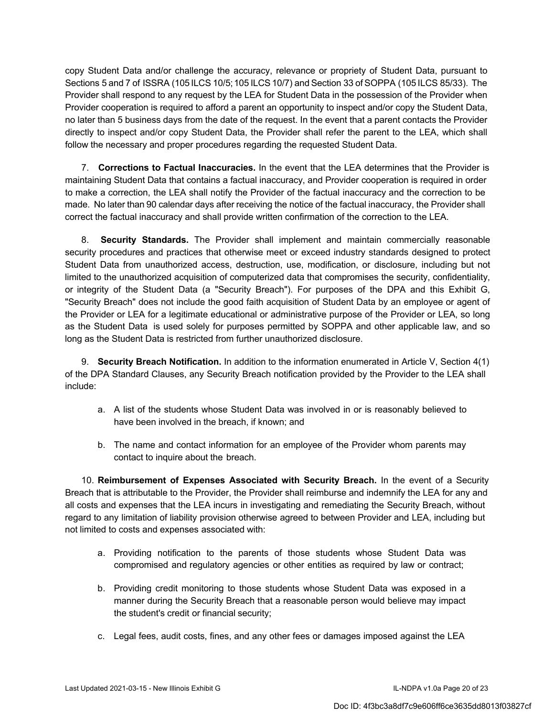copy Student Data and/or challenge the accuracy, relevance or propriety of Student Data, pursuant to Sections 5 and 7 of ISSRA (105 ILCS 10/5; 105 ILCS 10/7) and Section 33 of SOPPA (105 ILCS 85/33). The Provider shall respond to any request by the LEA for Student Data in the possession of the Provider when Provider cooperation is required to afford a parent an opportunity to inspect and/or copy the Student Data, no later than 5 business days from the date of the request. In the event that a parent contacts the Provider directly to inspect and/or copy Student Data, the Provider shall refer the parent to the LEA, which shall follow the necessary and proper procedures regarding the requested Student Data.

7. **Corrections to Factual Inaccuracies.** In the event that the LEA determines that the Provider is maintaining Student Data that contains a factual inaccuracy, and Provider cooperation is required in order to make a correction, the LEA shall notify the Provider of the factual inaccuracy and the correction to be made. No later than 90 calendar days after receiving the notice of the factual inaccuracy, the Provider shall correct the factual inaccuracy and shall provide written confirmation of the correction to the LEA.

8. **Security Standards.** The Provider shall implement and maintain commercially reasonable security procedures and practices that otherwise meet or exceed industry standards designed to protect Student Data from unauthorized access, destruction, use, modification, or disclosure, including but not limited to the unauthorized acquisition of computerized data that compromises the security, confidentiality, or integrity of the Student Data (a "Security Breach"). For purposes of the DPA and this Exhibit G, "Security Breach" does not include the good faith acquisition of Student Data by an employee or agent of the Provider or LEA for a legitimate educational or administrative purpose of the Provider or LEA, so long as the Student Data is used solely for purposes permitted by SOPPA and other applicable law, and so long as the Student Data is restricted from further unauthorized disclosure.

9. **Security Breach Notification.** In addition to the information enumerated in Article V, Section 4(1) of the DPA Standard Clauses, any Security Breach notification provided by the Provider to the LEA shall include:

- a. A list of the students whose Student Data was involved in or is reasonably believed to have been involved in the breach, if known; and
- b. The name and contact information for an employee of the Provider whom parents may contact to inquire about the breach.

10. **Reimbursement of Expenses Associated with Security Breach.** In the event of a Security Breach that is attributable to the Provider, the Provider shall reimburse and indemnify the LEA for any and all costs and expenses that the LEA incurs in investigating and remediating the Security Breach, without regard to any limitation of liability provision otherwise agreed to between Provider and LEA, including but not limited to costs and expenses associated with:

- a. Providing notification to the parents of those students whose Student Data was compromised and regulatory agencies or other entities as required by law or contract;
- b. Providing credit monitoring to those students whose Student Data was exposed in a manner during the Security Breach that a reasonable person would believe may impact the student's credit or financial security;
- c. Legal fees, audit costs, fines, and any other fees or damages imposed against the LEA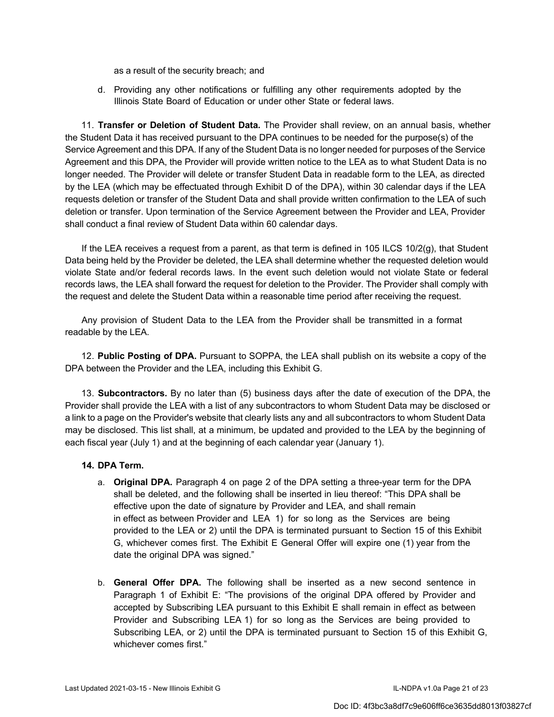as a result of the security breach; and

d. Providing any other notifications or fulfilling any other requirements adopted by the Illinois State Board of Education or under other State or federal laws.

11. **Transfer or Deletion of Student Data.** The Provider shall review, on an annual basis, whether the Student Data it has received pursuant to the DPA continues to be needed for the purpose(s) of the Service Agreement and this DPA. If any of the Student Data is no longer needed for purposes of the Service Agreement and this DPA, the Provider will provide written notice to the LEA as to what Student Data is no longer needed. The Provider will delete or transfer Student Data in readable form to the LEA, as directed by the LEA (which may be effectuated through Exhibit D of the DPA), within 30 calendar days if the LEA requests deletion or transfer of the Student Data and shall provide written confirmation to the LEA of such deletion or transfer. Upon termination of the Service Agreement between the Provider and LEA, Provider shall conduct a final review of Student Data within 60 calendar days.

If the LEA receives a request from a parent, as that term is defined in 105 ILCS 10/2(g), that Student Data being held by the Provider be deleted, the LEA shall determine whether the requested deletion would violate State and/or federal records laws. In the event such deletion would not violate State or federal records laws, the LEA shall forward the request for deletion to the Provider. The Provider shall comply with the request and delete the Student Data within a reasonable time period after receiving the request.

Any provision of Student Data to the LEA from the Provider shall be transmitted in a format readable by the LEA.

12. **Public Posting of DPA.** Pursuant to SOPPA, the LEA shall publish on its website a copy of the DPA between the Provider and the LEA, including this Exhibit G.

13. **Subcontractors.** By no later than (5) business days after the date of execution of the DPA, the Provider shall provide the LEA with a list of any subcontractors to whom Student Data may be disclosed or a link to a page on the Provider's website that clearly lists any and all subcontractors to whom Student Data may be disclosed. This list shall, at a minimum, be updated and provided to the LEA by the beginning of each fiscal year (July 1) and at the beginning of each calendar year (January 1).

#### **14. DPA Term.**

- a. **Original DPA.** Paragraph 4 on page 2 of the DPA setting a three-year term for the DPA shall be deleted, and the following shall be inserted in lieu thereof: "This DPA shall be effective upon the date of signature by Provider and LEA, and shall remain in effect as between Provider and LEA 1) for so long as the Services are being provided to the LEA or 2) until the DPA is terminated pursuant to Section 15 of this Exhibit G, whichever comes first. The Exhibit E General Offer will expire one (1) year from the date the original DPA was signed."
- b. **General Offer DPA.** The following shall be inserted as a new second sentence in Paragraph 1 of Exhibit E: "The provisions of the original DPA offered by Provider and accepted by Subscribing LEA pursuant to this Exhibit E shall remain in effect as between Provider and Subscribing LEA 1) for so long as the Services are being provided to Subscribing LEA, or 2) until the DPA is terminated pursuant to Section 15 of this Exhibit G, whichever comes first."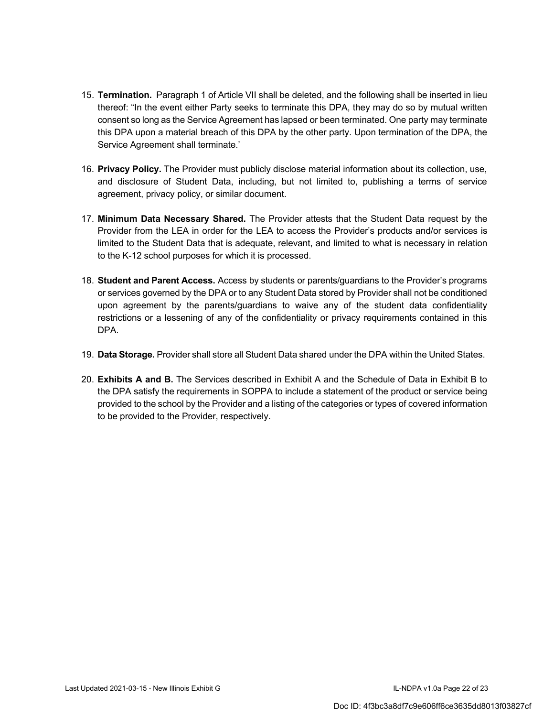- 15. **Termination.** Paragraph 1 of Article VII shall be deleted, and the following shall be inserted in lieu thereof: "In the event either Party seeks to terminate this DPA, they may do so by mutual written consent so long as the Service Agreement has lapsed or been terminated. One party may terminate this DPA upon a material breach of this DPA by the other party. Upon termination of the DPA, the Service Agreement shall terminate.'
- 16. **Privacy Policy.** The Provider must publicly disclose material information about its collection, use, and disclosure of Student Data, including, but not limited to, publishing a terms of service agreement, privacy policy, or similar document.
- 17. **Minimum Data Necessary Shared.** The Provider attests that the Student Data request by the Provider from the LEA in order for the LEA to access the Provider's products and/or services is limited to the Student Data that is adequate, relevant, and limited to what is necessary in relation to the K-12 school purposes for which it is processed.
- 18. **Student and Parent Access.** Access by students or parents/guardians to the Provider's programs or services governed by the DPA or to any Student Data stored by Provider shall not be conditioned upon agreement by the parents/guardians to waive any of the student data confidentiality restrictions or a lessening of any of the confidentiality or privacy requirements contained in this DPA.
- 19. **Data Storage.** Provider shall store all Student Data shared under the DPA within the United States.
- 20. **Exhibits A and B.** The Services described in Exhibit A and the Schedule of Data in Exhibit B to the DPA satisfy the requirements in SOPPA to include a statement of the product or service being provided to the school by the Provider and a listing of the categories or types of covered information to be provided to the Provider, respectively.